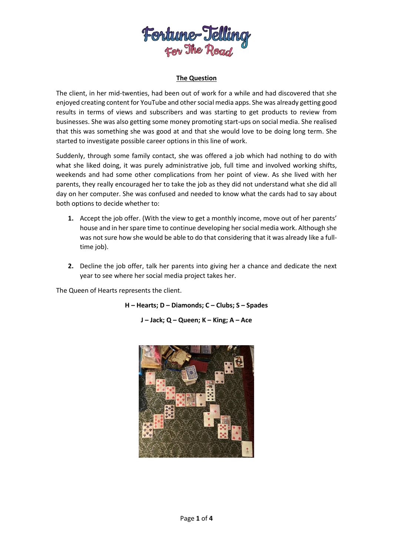

#### **The Question**

The client, in her mid-twenties, had been out of work for a while and had discovered that she enjoyed creating content for YouTube and other social media apps. She was already getting good results in terms of views and subscribers and was starting to get products to review from businesses. She was also getting some money promoting start-ups on social media. She realised that this was something she was good at and that she would love to be doing long term. She started to investigate possible career options in this line of work.

Suddenly, through some family contact, she was offered a job which had nothing to do with what she liked doing, it was purely administrative job, full time and involved working shifts, weekends and had some other complications from her point of view. As she lived with her parents, they really encouraged her to take the job as they did not understand what she did all day on her computer. She was confused and needed to know what the cards had to say about both options to decide whether to:

- **1.** Accept the job offer. (With the view to get a monthly income, move out of her parents' house and in her spare time to continue developing her social media work. Although she was not sure how she would be able to do that considering that it was already like a fulltime job).
- **2.** Decline the job offer, talk her parents into giving her a chance and dedicate the next year to see where her social media project takes her.

The Queen of Hearts represents the client.

**H – Hearts; D – Diamonds; C – Clubs; S – Spades**

**J – Jack; Q – Queen; K – King; A – Ace**

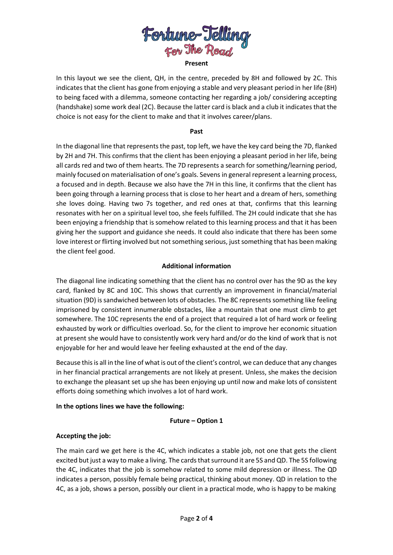

**Present**

In this layout we see the client, QH, in the centre, preceded by 8H and followed by 2C. This indicates that the client has gone from enjoying a stable and very pleasant period in her life (8H) to being faced with a dilemma, someone contacting her regarding a job/ considering accepting (handshake) some work deal (2C). Because the latter card is black and a club it indicates that the choice is not easy for the client to make and that it involves career/plans.

#### **Past**

In the diagonal line that represents the past, top left, we have the key card being the 7D, flanked by 2H and 7H. This confirms that the client has been enjoying a pleasant period in her life, being all cards red and two of them hearts. The 7D represents a search for something/learning period, mainly focused on materialisation of one's goals. Sevens in general represent a learning process, a focused and in depth. Because we also have the 7H in this line, it confirms that the client has been going through a learning process that is close to her heart and a dream of hers, something she loves doing. Having two 7s together, and red ones at that, confirms that this learning resonates with her on a spiritual level too, she feels fulfilled. The 2H could indicate that she has been enjoying a friendship that is somehow related to this learning process and that it has been giving her the support and guidance she needs. It could also indicate that there has been some love interest or flirting involved but not something serious, just something that has been making the client feel good.

## **Additional information**

The diagonal line indicating something that the client has no control over has the 9D as the key card, flanked by 8C and 10C. This shows that currently an improvement in financial/material situation (9D) is sandwiched between lots of obstacles. The 8C represents something like feeling imprisoned by consistent innumerable obstacles, like a mountain that one must climb to get somewhere. The 10C represents the end of a project that required a lot of hard work or feeling exhausted by work or difficulties overload. So, for the client to improve her economic situation at present she would have to consistently work very hard and/or do the kind of work that is not enjoyable for her and would leave her feeling exhausted at the end of the day.

Because this is all in the line of what is out of the client's control, we can deduce that any changes in her financial practical arrangements are not likely at present. Unless, she makes the decision to exchange the pleasant set up she has been enjoying up until now and make lots of consistent efforts doing something which involves a lot of hard work.

## **In the options lines we have the following:**

## **Future – Option 1**

# **Accepting the job:**

The main card we get here is the 4C, which indicates a stable job, not one that gets the client excited but just a way to make a living. The cards that surround it are 5S and QD. The 5S following the 4C, indicates that the job is somehow related to some mild depression or illness. The QD indicates a person, possibly female being practical, thinking about money. QD in relation to the 4C, as a job, shows a person, possibly our client in a practical mode, who is happy to be making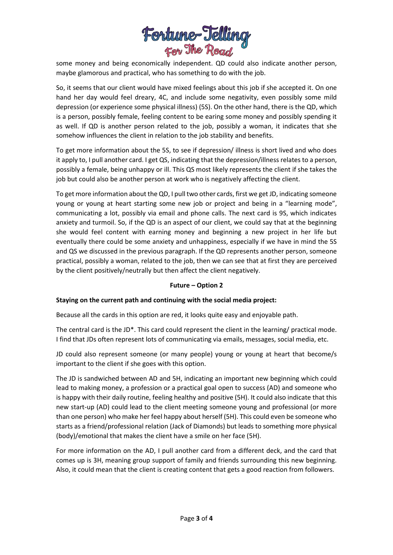

some money and being economically independent. QD could also indicate another person, maybe glamorous and practical, who has something to do with the job.

So, it seems that our client would have mixed feelings about this job if she accepted it. On one hand her day would feel dreary, 4C, and include some negativity, even possibly some mild depression (or experience some physical illness) (5S). On the other hand, there is the QD, which is a person, possibly female, feeling content to be earing some money and possibly spending it as well. If QD is another person related to the job, possibly a woman, it indicates that she somehow influences the client in relation to the job stability and benefits.

To get more information about the 5S, to see if depression/ illness is short lived and who does it apply to, I pull another card. I get QS, indicating that the depression/illness relates to a person, possibly a female, being unhappy or ill. This QS most likely represents the client if she takes the job but could also be another person at work who is negatively affecting the client.

To get more information about the QD, I pull two other cards, first we get JD, indicating someone young or young at heart starting some new job or project and being in a "learning mode", communicating a lot, possibly via email and phone calls. The next card is 9S, which indicates anxiety and turmoil. So, if the QD is an aspect of our client, we could say that at the beginning she would feel content with earning money and beginning a new project in her life but eventually there could be some anxiety and unhappiness, especially if we have in mind the 5S and QS we discussed in the previous paragraph. If the QD represents another person, someone practical, possibly a woman, related to the job, then we can see that at first they are perceived by the client positively/neutrally but then affect the client negatively.

## **Future – Option 2**

## **Staying on the current path and continuing with the social media project:**

Because all the cards in this option are red, it looks quite easy and enjoyable path.

The central card is the JD\*. This card could represent the client in the learning/ practical mode. I find that JDs often represent lots of communicating via emails, messages, social media, etc.

JD could also represent someone (or many people) young or young at heart that become/s important to the client if she goes with this option.

The JD is sandwiched between AD and 5H, indicating an important new beginning which could lead to making money, a profession or a practical goal open to success (AD) and someone who is happy with their daily routine, feeling healthy and positive (5H). It could also indicate that this new start-up (AD) could lead to the client meeting someone young and professional (or more than one person) who make her feel happy about herself (5H). This could even be someone who starts as a friend/professional relation (Jack of Diamonds) but leads to something more physical (body)/emotional that makes the client have a smile on her face (5H).

For more information on the AD, I pull another card from a different deck, and the card that comes up is 3H, meaning group support of family and friends surrounding this new beginning. Also, it could mean that the client is creating content that gets a good reaction from followers.